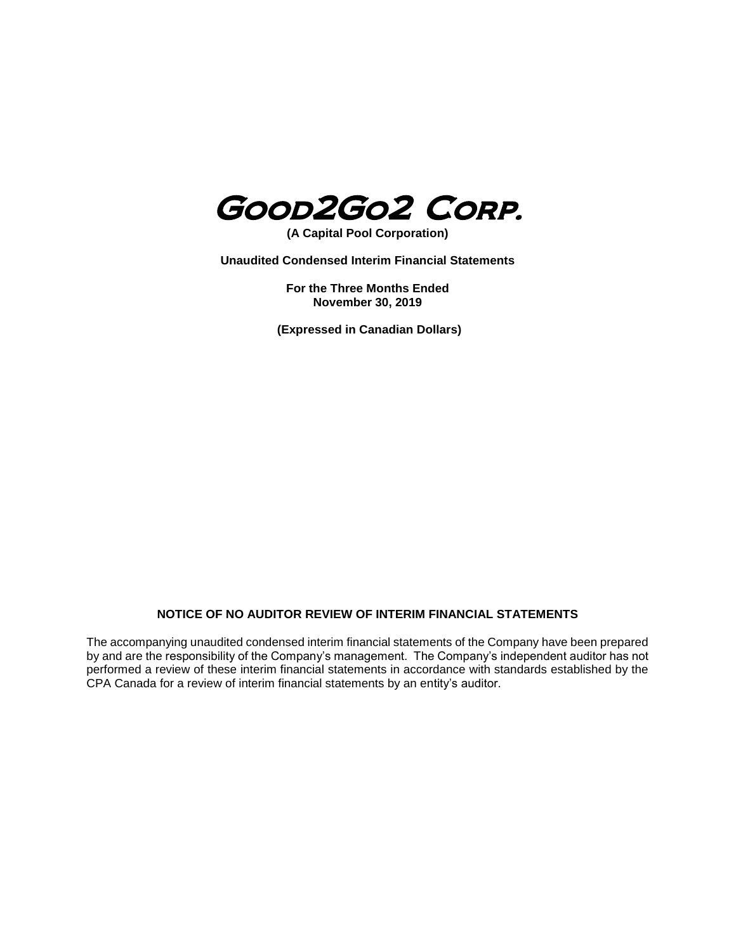

## **(A Capital Pool Corporation)**

**Unaudited Condensed Interim Financial Statements**

**For the Three Months Ended November 30, 2019**

**(Expressed in Canadian Dollars)**

### **NOTICE OF NO AUDITOR REVIEW OF INTERIM FINANCIAL STATEMENTS**

The accompanying unaudited condensed interim financial statements of the Company have been prepared by and are the responsibility of the Company's management. The Company's independent auditor has not performed a review of these interim financial statements in accordance with standards established by the CPA Canada for a review of interim financial statements by an entity's auditor.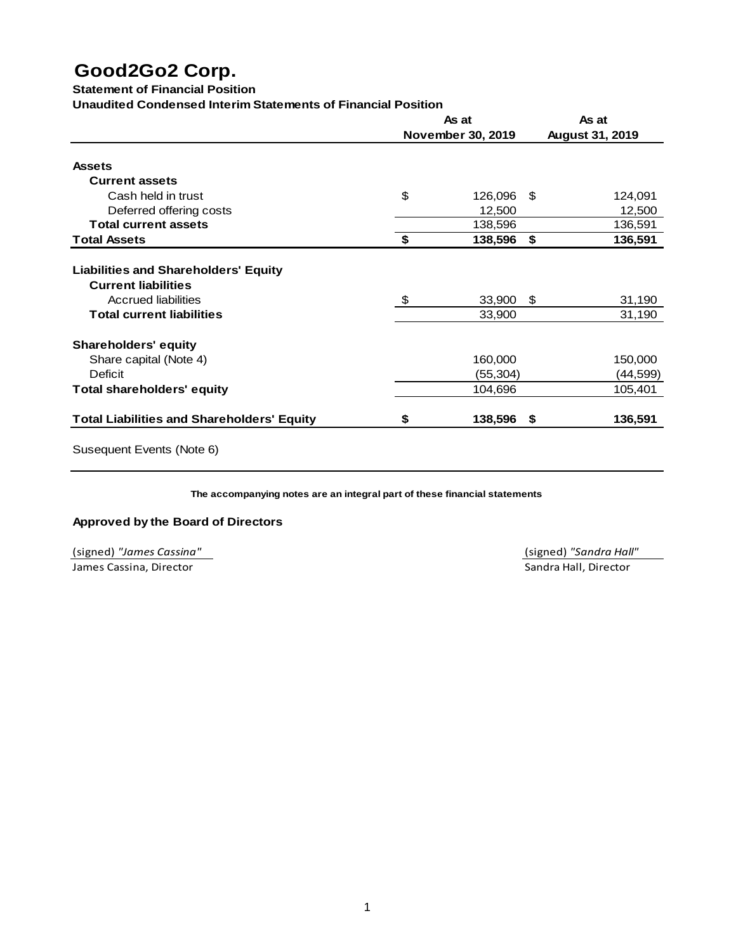## **Statement of Financial Position**

#### **Unaudited Condensed Interim Statements of Financial Position**

|                                                                                              | As at |                   | As at                  |  |
|----------------------------------------------------------------------------------------------|-------|-------------------|------------------------|--|
|                                                                                              |       | November 30, 2019 | <b>August 31, 2019</b> |  |
| <b>Assets</b>                                                                                |       |                   |                        |  |
| <b>Current assets</b>                                                                        |       |                   |                        |  |
| Cash held in trust                                                                           | \$    | 126,096           | \$<br>124,091          |  |
| Deferred offering costs                                                                      |       | 12,500            | 12,500                 |  |
| <b>Total current assets</b>                                                                  |       | 138,596           | 136,591                |  |
| <b>Total Assets</b>                                                                          | \$    | 138,596           | \$<br>136,591          |  |
| <b>Current liabilities</b><br><b>Accrued liabilities</b><br><b>Total current liabilities</b> | -\$   | 33,900<br>33,900  | \$<br>31,190<br>31,190 |  |
| <b>Shareholders' equity</b>                                                                  |       |                   |                        |  |
| Share capital (Note 4)                                                                       |       | 160,000           | 150,000                |  |
| <b>Deficit</b>                                                                               |       | (55, 304)         | (44, 599)              |  |
| <b>Total shareholders' equity</b>                                                            |       | 104,696           | 105,401                |  |
|                                                                                              |       | 138,596           | 136,591                |  |

Susequent Events (Note 6)

**The accompanying notes are an integral part of these financial statements**

### **Approved by the Board of Directors**

(signed) *"James Cassina"* (signed) *"Sandra Hall"* James Cassina, Director **Sandra Hall**, Director Sandra Hall, Director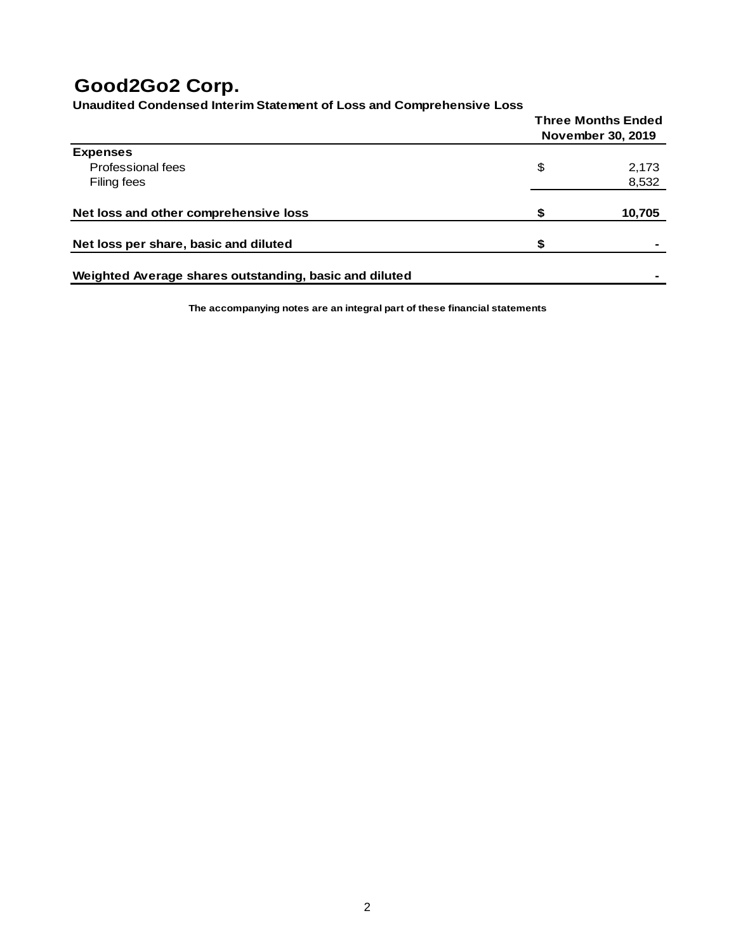|                                                        | <b>Three Months Ended</b><br>November 30, 2019 |  |  |
|--------------------------------------------------------|------------------------------------------------|--|--|
| <b>Expenses</b>                                        |                                                |  |  |
| Professional fees                                      | \$<br>2,173                                    |  |  |
| Filing fees                                            | 8,532                                          |  |  |
| Net loss and other comprehensive loss                  | 10,705                                         |  |  |
| Net loss per share, basic and diluted                  | \$                                             |  |  |
| Weighted Average shares outstanding, basic and diluted |                                                |  |  |

**Unaudited Condensed Interim Statement of Loss and Comprehensive Loss**

**The accompanying notes are an integral part of these financial statements**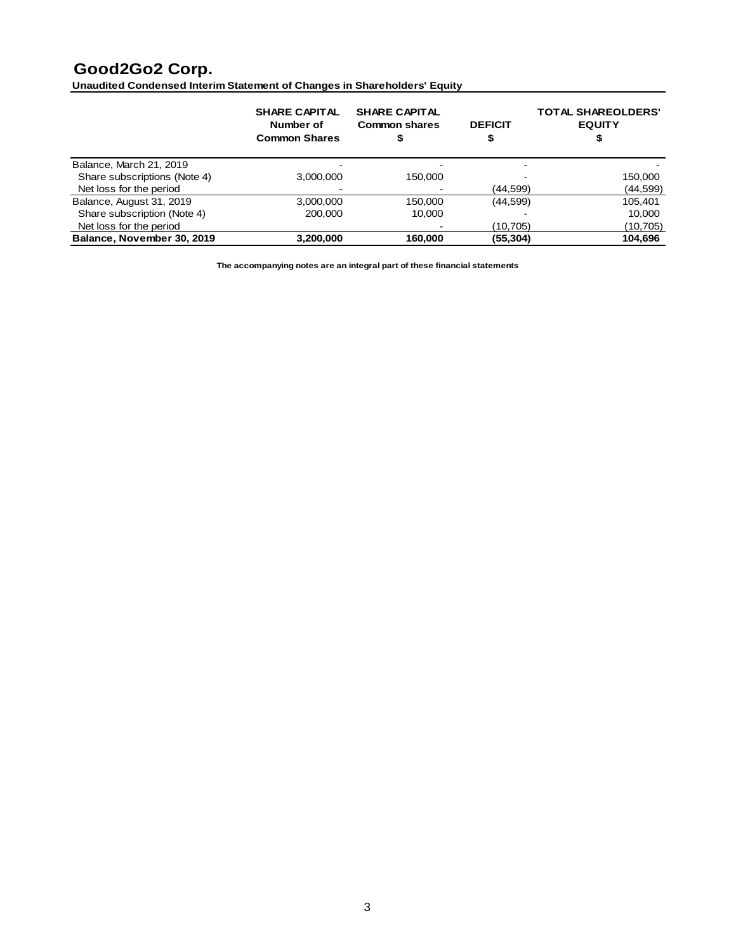**Unaudited Condensed Interim Statement of Changes in Shareholders' Equity** 

|                              | <b>SHARE CAPITAL</b><br>Number of<br><b>Common Shares</b> | <b>SHARE CAPITAL</b><br><b>Common shares</b> | <b>DEFICIT</b> | <b>TOTAL SHAREOLDERS'</b><br><b>EQUITY</b> |
|------------------------------|-----------------------------------------------------------|----------------------------------------------|----------------|--------------------------------------------|
| Balance, March 21, 2019      |                                                           |                                              |                |                                            |
| Share subscriptions (Note 4) | 3.000.000                                                 | 150,000                                      |                | 150,000                                    |
| Net loss for the period      |                                                           |                                              | (44.599)       | (44, 599)                                  |
| Balance, August 31, 2019     | 3,000,000                                                 | 150,000                                      | (44,599)       | 105,401                                    |
| Share subscription (Note 4)  | 200.000                                                   | 10.000                                       |                | 10,000                                     |
| Net loss for the period      |                                                           |                                              | (10, 705)      | (10, 705)                                  |
| Balance, November 30, 2019   | 3,200,000                                                 | 160,000                                      | (55, 304)      | 104,696                                    |

**The accompanying notes are an integral part of these financial statements**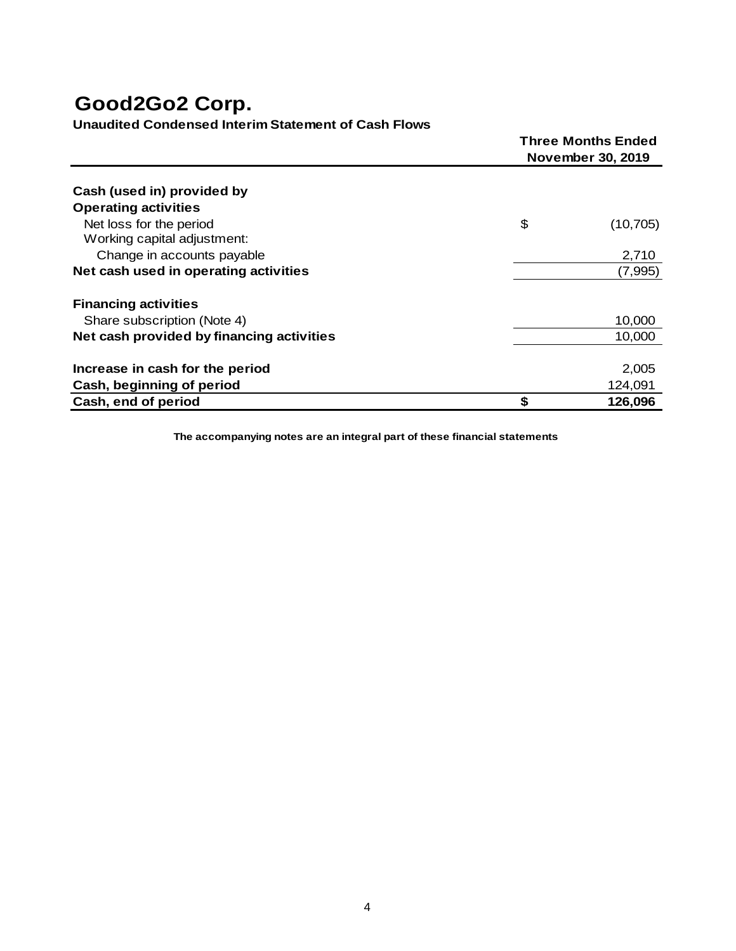**Unaudited Condensed Interim Statement of Cash Flows**

|                                           | <b>Three Months Ended</b><br><b>November 30, 2019</b> |  |
|-------------------------------------------|-------------------------------------------------------|--|
| Cash (used in) provided by                |                                                       |  |
| <b>Operating activities</b>               |                                                       |  |
| Net loss for the period                   | \$<br>(10, 705)                                       |  |
| Working capital adjustment:               |                                                       |  |
| Change in accounts payable                | 2,710                                                 |  |
| Net cash used in operating activities     | (7,995)                                               |  |
| <b>Financing activities</b>               |                                                       |  |
| Share subscription (Note 4)               | 10,000                                                |  |
| Net cash provided by financing activities | 10,000                                                |  |
| Increase in cash for the period           | 2,005                                                 |  |
| Cash, beginning of period                 | 124,091                                               |  |
| Cash, end of period                       | \$<br>126,096                                         |  |

**The accompanying notes are an integral part of these financial statements**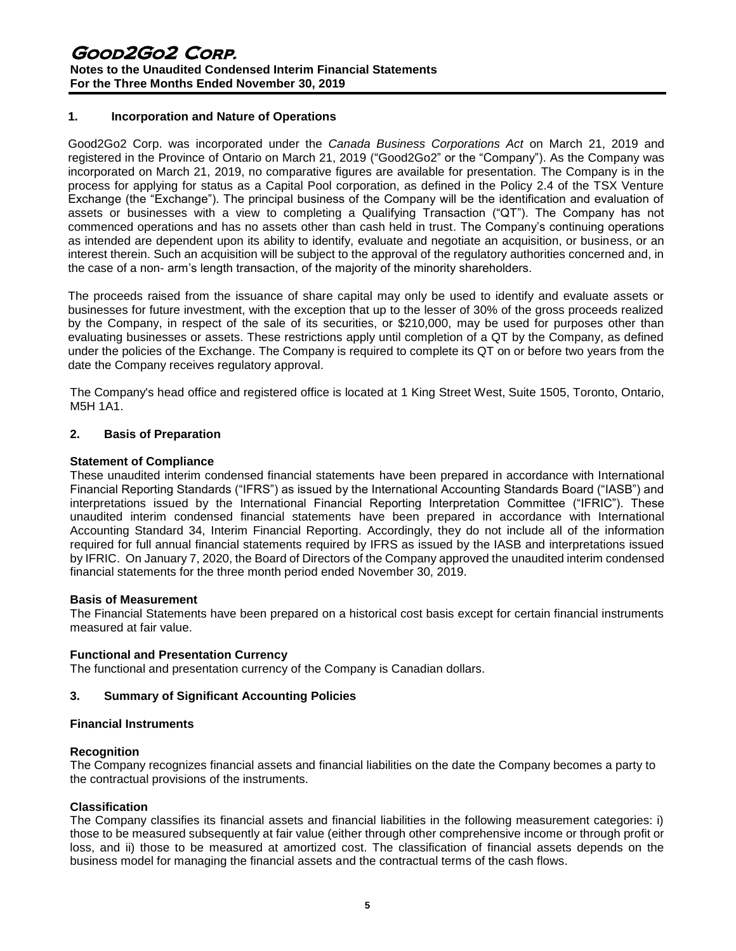### **1. Incorporation and Nature of Operations**

Good2Go2 Corp. was incorporated under the *Canada Business Corporations Act* on March 21, 2019 and registered in the Province of Ontario on March 21, 2019 ("Good2Go2" or the "Company"). As the Company was incorporated on March 21, 2019, no comparative figures are available for presentation. The Company is in the process for applying for status as a Capital Pool corporation, as defined in the Policy 2.4 of the TSX Venture Exchange (the "Exchange"). The principal business of the Company will be the identification and evaluation of assets or businesses with a view to completing a Qualifying Transaction ("QT"). The Company has not commenced operations and has no assets other than cash held in trust. The Company's continuing operations as intended are dependent upon its ability to identify, evaluate and negotiate an acquisition, or business, or an interest therein. Such an acquisition will be subject to the approval of the regulatory authorities concerned and, in the case of a non- arm's length transaction, of the majority of the minority shareholders.

The proceeds raised from the issuance of share capital may only be used to identify and evaluate assets or businesses for future investment, with the exception that up to the lesser of 30% of the gross proceeds realized by the Company, in respect of the sale of its securities, or \$210,000, may be used for purposes other than evaluating businesses or assets. These restrictions apply until completion of a QT by the Company, as defined under the policies of the Exchange. The Company is required to complete its QT on or before two years from the date the Company receives regulatory approval.

The Company's head office and registered office is located at 1 King Street West, Suite 1505, Toronto, Ontario, M5H 1A1.

#### **2. Basis of Preparation**

#### **Statement of Compliance**

These unaudited interim condensed financial statements have been prepared in accordance with International Financial Reporting Standards ("IFRS") as issued by the International Accounting Standards Board ("IASB") and interpretations issued by the International Financial Reporting Interpretation Committee ("IFRIC"). These unaudited interim condensed financial statements have been prepared in accordance with International Accounting Standard 34, Interim Financial Reporting. Accordingly, they do not include all of the information required for full annual financial statements required by IFRS as issued by the IASB and interpretations issued by IFRIC. On January 7, 2020, the Board of Directors of the Company approved the unaudited interim condensed financial statements for the three month period ended November 30, 2019.

#### **Basis of Measurement**

The Financial Statements have been prepared on a historical cost basis except for certain financial instruments measured at fair value.

#### **Functional and Presentation Currency**

The functional and presentation currency of the Company is Canadian dollars.

#### **3. Summary of Significant Accounting Policies**

#### **Financial Instruments**

#### **Recognition**

The Company recognizes financial assets and financial liabilities on the date the Company becomes a party to the contractual provisions of the instruments.

#### **Classification**

The Company classifies its financial assets and financial liabilities in the following measurement categories: i) those to be measured subsequently at fair value (either through other comprehensive income or through profit or loss, and ii) those to be measured at amortized cost. The classification of financial assets depends on the business model for managing the financial assets and the contractual terms of the cash flows.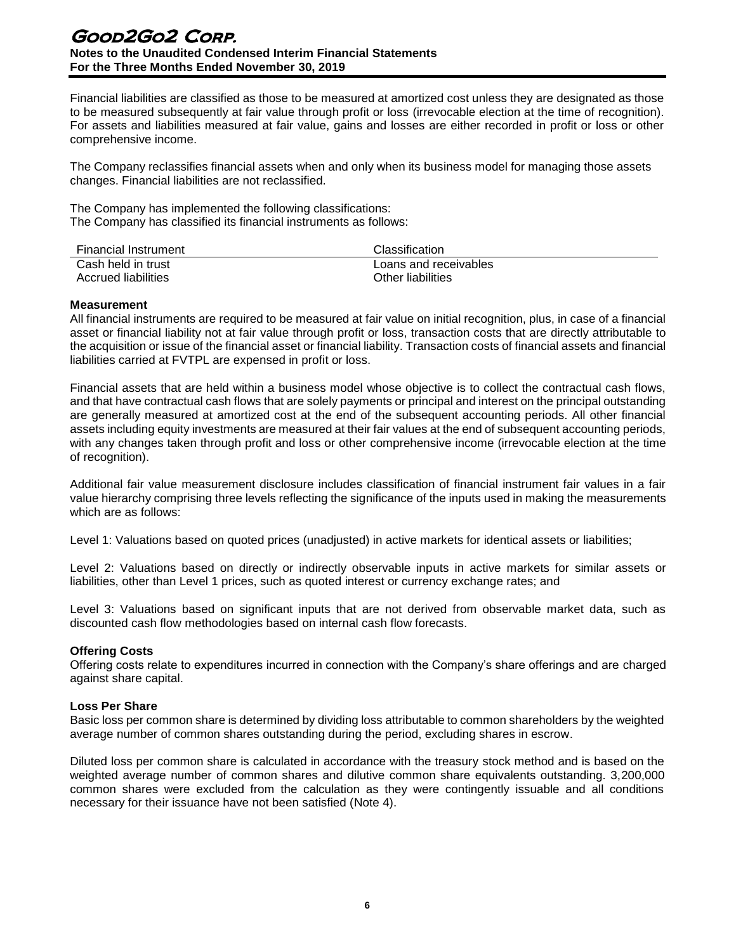# Good2Go2 Corp. **Notes to the Unaudited Condensed Interim Financial Statements For the Three Months Ended November 30, 2019**

Financial liabilities are classified as those to be measured at amortized cost unless they are designated as those to be measured subsequently at fair value through profit or loss (irrevocable election at the time of recognition). For assets and liabilities measured at fair value, gains and losses are either recorded in profit or loss or other comprehensive income.

The Company reclassifies financial assets when and only when its business model for managing those assets changes. Financial liabilities are not reclassified.

The Company has implemented the following classifications: The Company has classified its financial instruments as follows:

| <b>Financial Instrument</b> | Classification        |
|-----------------------------|-----------------------|
| Cash held in trust          | Loans and receivables |
| Accrued liabilities         | Other liabilities     |

#### **Measurement**

All financial instruments are required to be measured at fair value on initial recognition, plus, in case of a financial asset or financial liability not at fair value through profit or loss, transaction costs that are directly attributable to the acquisition or issue of the financial asset or financial liability. Transaction costs of financial assets and financial liabilities carried at FVTPL are expensed in profit or loss.

Financial assets that are held within a business model whose objective is to collect the contractual cash flows, and that have contractual cash flows that are solely payments or principal and interest on the principal outstanding are generally measured at amortized cost at the end of the subsequent accounting periods. All other financial assets including equity investments are measured at their fair values at the end of subsequent accounting periods, with any changes taken through profit and loss or other comprehensive income (irrevocable election at the time of recognition).

Additional fair value measurement disclosure includes classification of financial instrument fair values in a fair value hierarchy comprising three levels reflecting the significance of the inputs used in making the measurements which are as follows:

Level 1: Valuations based on quoted prices (unadjusted) in active markets for identical assets or liabilities;

Level 2: Valuations based on directly or indirectly observable inputs in active markets for similar assets or liabilities, other than Level 1 prices, such as quoted interest or currency exchange rates; and

Level 3: Valuations based on significant inputs that are not derived from observable market data, such as discounted cash flow methodologies based on internal cash flow forecasts.

#### **Offering Costs**

Offering costs relate to expenditures incurred in connection with the Company's share offerings and are charged against share capital.

#### **Loss Per Share**

Basic loss per common share is determined by dividing loss attributable to common shareholders by the weighted average number of common shares outstanding during the period, excluding shares in escrow.

Diluted loss per common share is calculated in accordance with the treasury stock method and is based on the weighted average number of common shares and dilutive common share equivalents outstanding. 3,200,000 common shares were excluded from the calculation as they were contingently issuable and all conditions necessary for their issuance have not been satisfied (Note 4).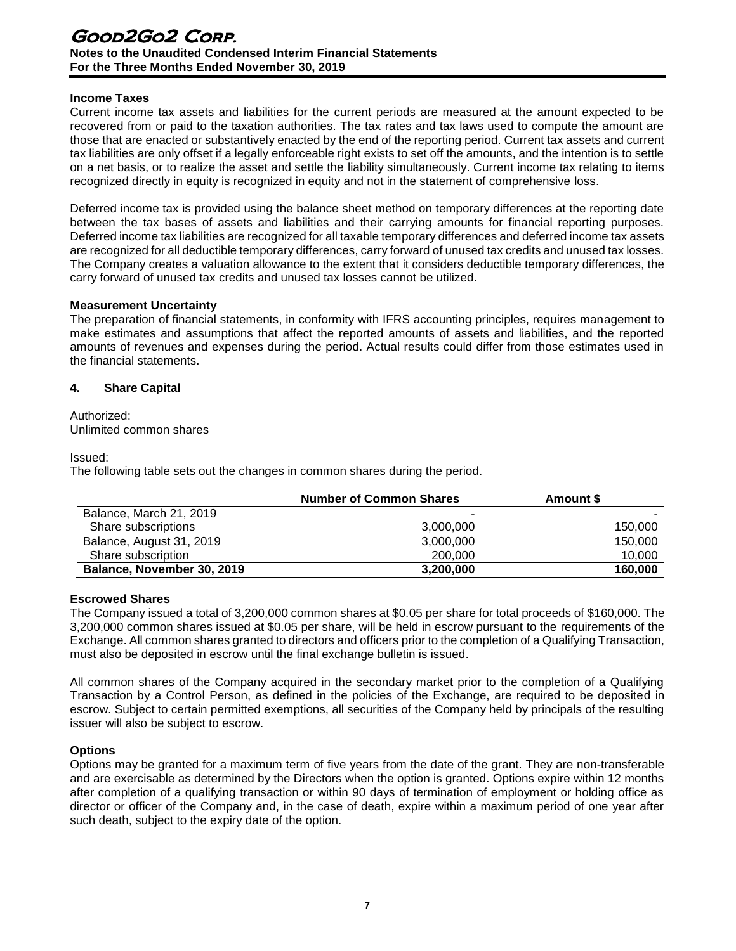#### **Income Taxes**

Current income tax assets and liabilities for the current periods are measured at the amount expected to be recovered from or paid to the taxation authorities. The tax rates and tax laws used to compute the amount are those that are enacted or substantively enacted by the end of the reporting period. Current tax assets and current tax liabilities are only offset if a legally enforceable right exists to set off the amounts, and the intention is to settle on a net basis, or to realize the asset and settle the liability simultaneously. Current income tax relating to items recognized directly in equity is recognized in equity and not in the statement of comprehensive loss.

Deferred income tax is provided using the balance sheet method on temporary differences at the reporting date between the tax bases of assets and liabilities and their carrying amounts for financial reporting purposes. Deferred income tax liabilities are recognized for all taxable temporary differences and deferred income tax assets are recognized for all deductible temporary differences, carry forward of unused tax credits and unused tax losses. The Company creates a valuation allowance to the extent that it considers deductible temporary differences, the carry forward of unused tax credits and unused tax losses cannot be utilized.

#### **Measurement Uncertainty**

The preparation of financial statements, in conformity with IFRS accounting principles, requires management to make estimates and assumptions that affect the reported amounts of assets and liabilities, and the reported amounts of revenues and expenses during the period. Actual results could differ from those estimates used in the financial statements.

#### **4. Share Capital**

Authorized: Unlimited common shares

Issued:

The following table sets out the changes in common shares during the period.

|                            | <b>Number of Common Shares</b> | Amount \$ |  |
|----------------------------|--------------------------------|-----------|--|
| Balance, March 21, 2019    | -                              |           |  |
| Share subscriptions        | 3.000.000                      | 150,000   |  |
| Balance, August 31, 2019   | 3,000,000                      | 150,000   |  |
| Share subscription         | 200,000                        | 10.000    |  |
| Balance, November 30, 2019 | 3,200,000                      | 160,000   |  |

#### **Escrowed Shares**

The Company issued a total of 3,200,000 common shares at \$0.05 per share for total proceeds of \$160,000. The 3,200,000 common shares issued at \$0.05 per share, will be held in escrow pursuant to the requirements of the Exchange. All common shares granted to directors and officers prior to the completion of a Qualifying Transaction, must also be deposited in escrow until the final exchange bulletin is issued.

All common shares of the Company acquired in the secondary market prior to the completion of a Qualifying Transaction by a Control Person, as defined in the policies of the Exchange, are required to be deposited in escrow. Subject to certain permitted exemptions, all securities of the Company held by principals of the resulting issuer will also be subject to escrow.

#### **Options**

Options may be granted for a maximum term of five years from the date of the grant. They are non-transferable and are exercisable as determined by the Directors when the option is granted. Options expire within 12 months after completion of a qualifying transaction or within 90 days of termination of employment or holding office as director or officer of the Company and, in the case of death, expire within a maximum period of one year after such death, subject to the expiry date of the option.